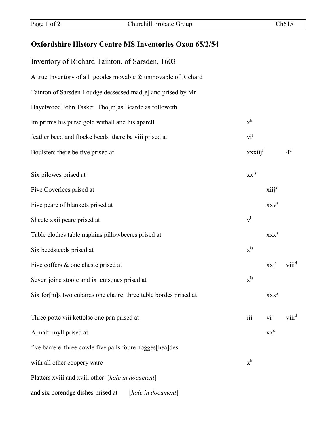## **Oxfordshire History Centre MS Inventories Oxon 65/2/54**

| Inventory of Richard Tainton, of Sarsden, 1603                   |                             |                             |                   |
|------------------------------------------------------------------|-----------------------------|-----------------------------|-------------------|
| A true Inventory of all goodes movable & unmovable of Richard    |                             |                             |                   |
| Tainton of Sarsden Loudge dessessed mad[e] and prised by Mr      |                             |                             |                   |
| Hayelwood John Tasker Tho[m]as Bearde as followeth               |                             |                             |                   |
| Im primis his purse gold withall and his aparell                 | $\mathbf{x}^{\text{ls}}$    |                             |                   |
| feather beed and flocke beeds there be viii prised at            | $\rm vi^1$                  |                             |                   |
| Boulsters there be five prised at                                | xxxiii <sup>1</sup>         |                             | 4 <sup>d</sup>    |
| Six pilowes prised at                                            | $xx^{ls}$                   |                             |                   |
| Five Coverlees prised at                                         |                             | $xiii^s$                    |                   |
| Five peare of blankets prised at                                 |                             | XXV <sup>S</sup>            |                   |
| Sheete xxii peare prised at                                      | v <sup>1</sup>              |                             |                   |
| Table clothes table napkins pillowbeeres prised at               |                             | $\mathbf{XXX}^{\mathbf{S}}$ |                   |
| Six beedsteeds prised at                                         | $\mathbf{x}^{\text{ls}}$    |                             |                   |
| Five coffers & one cheste prised at                              |                             | xxi <sup>s</sup>            | viii <sup>d</sup> |
| Seven joine stoole and ix cuisones prised at                     | $\mathbf{x}^{\text{ls}}$    |                             |                   |
| Six for [m]s two cubards one chaire three table bordes prised at |                             | $\mathbf{XXX}^{\mathbf{S}}$ |                   |
| Three potte viii kettelse one pan prised at                      | $\overline{\mathbf{iii}}^1$ | $\rm vi^s$                  | viii <sup>d</sup> |
| A malt myll prised at                                            |                             | XX <sup>S</sup>             |                   |
| five barrele three cowle five pails foure hogges[hea]des         |                             |                             |                   |
| with all other coopery ware                                      | $\mathbf{x}^{\text{ls}}$    |                             |                   |
| Platters xviii and xviii other [hole in document]                |                             |                             |                   |
| and six porendge dishes prised at<br>[hole in document]          |                             |                             |                   |